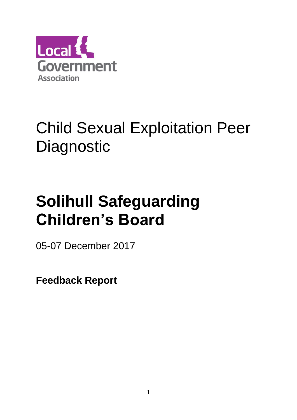

## Child Sexual Exploitation Peer **Diagnostic**

# **Solihull Safeguarding Children's Board**

05-07 December 2017

**Feedback Report**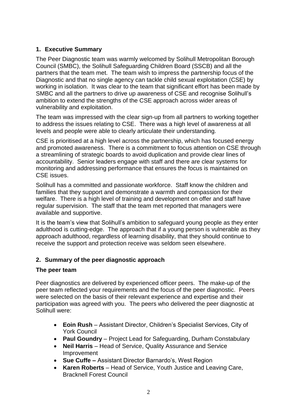## **1. Executive Summary**

The Peer Diagnostic team was warmly welcomed by Solihull Metropolitan Borough Council (SMBC), the Solihull Safeguarding Children Board (SSCB) and all the partners that the team met. The team wish to impress the partnership focus of the Diagnostic and that no single agency can tackle child sexual exploitation (CSE) by working in isolation. It was clear to the team that significant effort has been made by SMBC and all the partners to drive up awareness of CSE and recognise Solihull's ambition to extend the strengths of the CSE approach across wider areas of vulnerability and exploitation.

The team was impressed with the clear sign-up from all partners to working together to address the issues relating to CSE. There was a high level of awareness at all levels and people were able to clearly articulate their understanding.

CSE is prioritised at a high level across the partnership, which has focused energy and promoted awareness. There is a commitment to focus attention on CSE through a streamlining of strategic boards to avoid duplication and provide clear lines of accountability. Senior leaders engage with staff and there are clear systems for monitoring and addressing performance that ensures the focus is maintained on CSE issues.

Solihull has a committed and passionate workforce. Staff know the children and families that they support and demonstrate a warmth and compassion for their welfare. There is a high level of training and development on offer and staff have regular supervision. The staff that the team met reported that managers were available and supportive.

It is the team's view that Solihull's ambition to safeguard young people as they enter adulthood is cutting-edge. The approach that if a young person is vulnerable as they approach adulthood, regardless of learning disability, that they should continue to receive the support and protection receive was seldom seen elsewhere.

## **2. Summary of the peer diagnostic approach**

#### **The peer team**

Peer diagnostics are delivered by experienced officer peers. The make-up of the peer team reflected your requirements and the focus of the peer diagnostic. Peers were selected on the basis of their relevant experience and expertise and their participation was agreed with you. The peers who delivered the peer diagnostic at Solihull were:

- **Eoin Rush**  Assistant Director, Children's Specialist Services, City of York Council
- **Paul Goundry**  Project Lead for Safeguarding, Durham Constabulary
- **Neil Harris** Head of Service, Quality Assurance and Service Improvement
- **Sue Cuffe –** Assistant Director Barnardo's, West Region
- **Karen Roberts** Head of Service, Youth Justice and Leaving Care, Bracknell Forest Council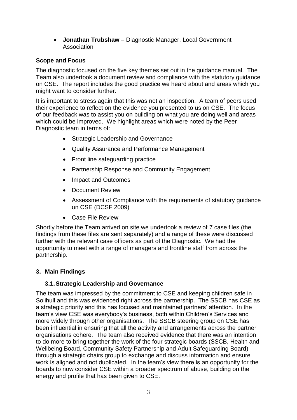**Jonathan Trubshaw** – Diagnostic Manager, Local Government Association

## **Scope and Focus**

The diagnostic focused on the five key themes set out in the guidance manual. The Team also undertook a document review and compliance with the statutory guidance on CSE. The report includes the good practice we heard about and areas which you might want to consider further.

It is important to stress again that this was not an inspection. A team of peers used their experience to reflect on the evidence you presented to us on CSE. The focus of our feedback was to assist you on building on what you are doing well and areas which could be improved. We highlight areas which were noted by the Peer Diagnostic team in terms of:

- Strategic Leadership and Governance
- Quality Assurance and Performance Management
- Front line safeguarding practice
- Partnership Response and Community Engagement
- Impact and Outcomes
- Document Review
- Assessment of Compliance with the requirements of statutory guidance on CSE (DCSF 2009)
- Case File Review

Shortly before the Team arrived on site we undertook a review of 7 case files (the findings from these files are sent separately) and a range of these were discussed further with the relevant case officers as part of the Diagnostic. We had the opportunity to meet with a range of managers and frontline staff from across the partnership.

## **3. Main Findings**

## **3.1.Strategic Leadership and Governance**

The team was impressed by the commitment to CSE and keeping children safe in Solihull and this was evidenced right across the partnership. The SSCB has CSE as a strategic priority and this has focused and maintained partners' attention. In the team's view CSE was everybody's business, both within Children's Services and more widely through other organisations. The SSCB steering group on CSE has been influential in ensuring that all the activity and arrangements across the partner organisations cohere. The team also received evidence that there was an intention to do more to bring together the work of the four strategic boards (SSCB, Health and Wellbeing Board, Community Safety Partnership and Adult Safeguarding Board) through a strategic chairs group to exchange and discuss information and ensure work is aligned and not duplicated. In the team's view there is an opportunity for the boards to now consider CSE within a broader spectrum of abuse, building on the energy and profile that has been given to CSE.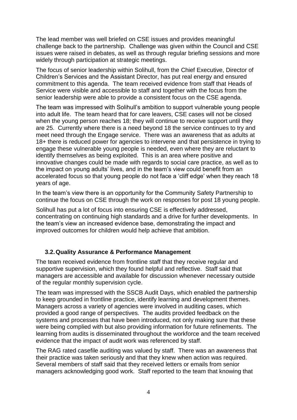The lead member was well briefed on CSE issues and provides meaningful challenge back to the partnership. Challenge was given within the Council and CSE issues were raised in debates, as well as through regular briefing sessions and more widely through participation at strategic meetings.

The focus of senior leadership within Solihull, from the Chief Executive, Director of Children's Services and the Assistant Director, has put real energy and ensured commitment to this agenda. The team received evidence from staff that Heads of Service were visible and accessible to staff and together with the focus from the senior leadership were able to provide a consistent focus on the CSE agenda.

The team was impressed with Solihull's ambition to support vulnerable young people into adult life. The team heard that for care leavers, CSE cases will not be closed when the young person reaches 18; they will continue to receive support until they are 25. Currently where there is a need beyond 18 the service continues to try and meet need through the Engage service. There was an awareness that as adults at 18+ there is reduced power for agencies to intervene and that persistence in trying to engage these vulnerable young people is needed, even where they are reluctant to identify themselves as being exploited. This is an area where positive and innovative changes could be made with regards to social care practice, as well as to the impact on young adults' lives, and in the team's view could benefit from an accelerated focus so that young people do not face a 'cliff edge' when they reach 18 years of age.

In the team's view there is an opportunity for the Community Safety Partnership to continue the focus on CSE through the work on responses for post 18 young people.

Solihull has put a lot of focus into ensuring CSE is effectively addressed, concentrating on continuing high standards and a drive for further developments. In the team's view an increased evidence base, demonstrating the impact and improved outcomes for children would help achieve that ambition.

#### **3.2.Quality Assurance & Performance Management**

The team received evidence from frontline staff that they receive regular and supportive supervision, which they found helpful and reflective. Staff said that managers are accessible and available for discussion whenever necessary outside of the regular monthly supervision cycle.

The team was impressed with the SSCB Audit Days, which enabled the partnership to keep grounded in frontline practice, identify learning and development themes. Managers across a variety of agencies were involved in auditing cases, which provided a good range of perspectives. The audits provided feedback on the systems and processes that have been introduced, not only making sure that these were being complied with but also providing information for future refinements. The learning from audits is disseminated throughout the workforce and the team received evidence that the impact of audit work was referenced by staff.

The RAG rated casefile auditing was valued by staff. There was an awareness that their practice was taken seriously and that they knew when action was required. Several members of staff said that they received letters or emails from senior managers acknowledging good work. Staff reported to the team that knowing that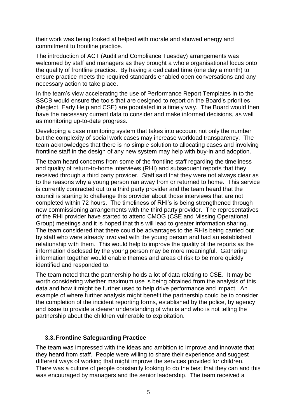their work was being looked at helped with morale and showed energy and commitment to frontline practice.

The introduction of ACT (Audit and Compliance Tuesday) arrangements was welcomed by staff and managers as they brought a whole organisational focus onto the quality of frontline practice. By having a dedicated time (one day a month) to ensure practice meets the required standards enabled open conversations and any necessary action to take place.

In the team's view accelerating the use of Performance Report Templates in to the SSCB would ensure the tools that are designed to report on the Board's priorities (Neglect, Early Help and CSE) are populated in a timely way. The Board would then have the necessary current data to consider and make informed decisions, as well as monitoring up-to-date progress.

Developing a case monitoring system that takes into account not only the number but the complexity of social work cases may increase workload transparency. The team acknowledges that there is no simple solution to allocating cases and involving frontline staff in the design of any new system may help with buy-in and adoption.

The team heard concerns from some of the frontline staff regarding the timeliness and quality of return-to-home interviews (RHI) and subsequent reports that they received through a third party provider. Staff said that they were not always clear as to the reasons why a young person ran away from or returned to home. This service is currently contracted out to a third party provider and the team heard that the council is starting to challenge this provider about those interviews that are not completed within 72 hours. The timeliness of RHI's is being strengthened through new commissioning arrangements with the third party provider. The representatives of the RHI provider have started to attend CMOG (CSE and Missing Operational Group) meetings and it is hoped that this will lead to greater information sharing. The team considered that there could be advantages to the RHIs being carried out by staff who were already involved with the young person and had an established relationship with them. This would help to improve the quality of the reports as the information disclosed by the young person may be more meaningful. Gathering information together would enable themes and areas of risk to be more quickly identified and responded to.

The team noted that the partnership holds a lot of data relating to CSE. It may be worth considering whether maximum use is being obtained from the analysis of this data and how it might be further used to help drive performance and impact. An example of where further analysis might benefit the partnership could be to consider the completion of the incident reporting forms, established by the police, by agency and issue to provide a clearer understanding of who is and who is not telling the partnership about the children vulnerable to exploitation.

#### **3.3.Frontline Safeguarding Practice**

The team was impressed with the ideas and ambition to improve and innovate that they heard from staff. People were willing to share their experience and suggest different ways of working that might improve the services provided for children. There was a culture of people constantly looking to do the best that they can and this was encouraged by managers and the senior leadership. The team received a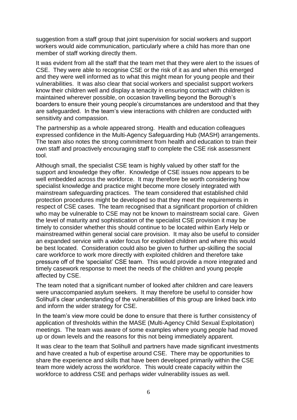suggestion from a staff group that joint supervision for social workers and support workers would aide communication, particularly where a child has more than one member of staff working directly them.

It was evident from all the staff that the team met that they were alert to the issues of CSE. They were able to recognise CSE or the risk of it as and when this emerged and they were well informed as to what this might mean for young people and their vulnerabilities. It was also clear that social workers and specialist support workers know their children well and display a tenacity in ensuring contact with children is maintained wherever possible, on occasion travelling beyond the Borough's boarders to ensure their young people's circumstances are understood and that they are safeguarded. In the team's view interactions with children are conducted with sensitivity and compassion.

The partnership as a whole appeared strong. Health and education colleagues expressed confidence in the Multi-Agency Safeguarding Hub (MASH) arrangements. The team also notes the strong commitment from health and education to train their own staff and proactively encouraging staff to complete the CSE risk assessment tool.

Although small, the specialist CSE team is highly valued by other staff for the support and knowledge they offer. Knowledge of CSE issues now appears to be well embedded across the workforce. It may therefore be worth considering how specialist knowledge and practice might become more closely integrated with mainstream safeguarding practices. The team considered that established child protection procedures might be developed so that they meet the requirements in respect of CSE cases. The team recognised that a significant proportion of children who may be vulnerable to CSE may not be known to mainstream social care. Given the level of maturity and sophistication of the specialist CSE provision it may be timely to consider whether this should continue to be located within Early Help or mainstreamed within general social care provision. It may also be useful to consider an expanded service with a wider focus for exploited children and where this would be best located. Consideration could also be given to further up-skilling the social care workforce to work more directly with exploited children and therefore take pressure off of the 'specialist' CSE team. This would provide a more integrated and timely casework response to meet the needs of the children and young people affected by CSE.

The team noted that a significant number of looked after children and care leavers were unaccompanied asylum seekers. It may therefore be useful to consider how Solihull's clear understanding of the vulnerabilities of this group are linked back into and inform the wider strategy for CSE.

In the team's view more could be done to ensure that there is further consistency of application of thresholds within the MASE (Multi-Agency Child Sexual Exploitation) meetings. The team was aware of some examples where young people had moved up or down levels and the reasons for this not being immediately apparent.

It was clear to the team that Solihull and partners have made significant investments and have created a hub of expertise around CSE. There may be opportunities to share the experience and skills that have been developed primarily within the CSE team more widely across the workforce. This would create capacity within the workforce to address CSE and perhaps wider vulnerability issues as well.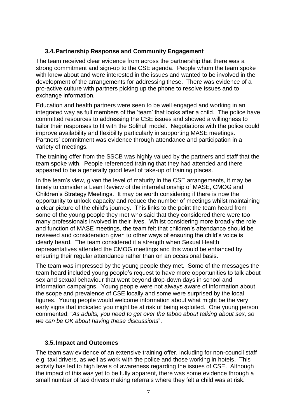## **3.4.Partnership Response and Community Engagement**

The team received clear evidence from across the partnership that there was a strong commitment and sign-up to the CSE agenda. People whom the team spoke with knew about and were interested in the issues and wanted to be involved in the development of the arrangements for addressing these. There was evidence of a pro-active culture with partners picking up the phone to resolve issues and to exchange information.

Education and health partners were seen to be well engaged and working in an integrated way as full members of the 'team' that looks after a child. The police have committed resources to addressing the CSE issues and showed a willingness to tailor their responses to fit with the Solihull model. Negotiations with the police could improve availability and flexibility particularly in supporting MASE meetings. Partners' commitment was evidence through attendance and participation in a variety of meetings.

The training offer from the SSCB was highly valued by the partners and staff that the team spoke with. People referenced training that they had attended and there appeared to be a generally good level of take-up of training places.

In the team's view, given the level of maturity in the CSE arrangements, it may be timely to consider a Lean Review of the interrelationship of MASE, CMOG and Children's Strategy Meetings. It may be worth considering if there is now the opportunity to unlock capacity and reduce the number of meetings whilst maintaining a clear picture of the child's journey. This links to the point the team heard from some of the young people they met who said that they considered there were too many professionals involved in their lives. Whilst considering more broadly the role and function of MASE meetings, the team felt that children's attendance should be reviewed and consideration given to other ways of ensuring the child's voice is clearly heard. The team considered it a strength when Sexual Health representatives attended the CMOG meetings and this would be enhanced by ensuring their regular attendance rather than on an occasional basis.

The team was impressed by the young people they met. Some of the messages the team heard included young people's request to have more opportunities to talk about sex and sexual behaviour that went beyond drop-down days in school and information campaigns. Young people were not always aware of information about the scope and prevalence of CSE locally and some were surprised by the local figures. Young people would welcome information about what might be the very early signs that indicated you might be at risk of being exploited. One young person commented; "*As adults, you need to get over the taboo about talking about sex, so we can be OK about having these discussions*".

## **3.5.Impact and Outcomes**

The team saw evidence of an extensive training offer, including for non-council staff e.g. taxi drivers, as well as work with the police and those working in hotels. This activity has led to high levels of awareness regarding the issues of CSE. Although the impact of this was yet to be fully apparent, there was some evidence through a small number of taxi drivers making referrals where they felt a child was at risk.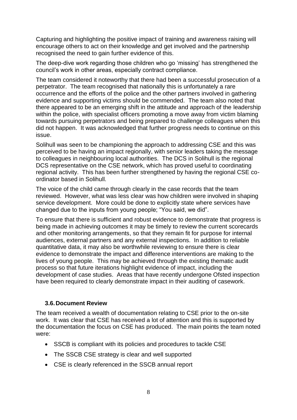Capturing and highlighting the positive impact of training and awareness raising will encourage others to act on their knowledge and get involved and the partnership recognised the need to gain further evidence of this.

The deep-dive work regarding those children who go 'missing' has strengthened the council's work in other areas, especially contract compliance.

The team considered it noteworthy that there had been a successful prosecution of a perpetrator. The team recognised that nationally this is unfortunately a rare occurrence and the efforts of the police and the other partners involved in gathering evidence and supporting victims should be commended. The team also noted that there appeared to be an emerging shift in the attitude and approach of the leadership within the police, with specialist officers promoting a move away from victim blaming towards pursuing perpetrators and being prepared to challenge colleagues when this did not happen. It was acknowledged that further progress needs to continue on this issue.

Solihull was seen to be championing the approach to addressing CSE and this was perceived to be having an impact regionally, with senior leaders taking the message to colleagues in neighbouring local authorities. The DCS in Solihull is the regional DCS representative on the CSE network, which has proved useful to coordinating regional activity. This has been further strengthened by having the regional CSE coordinator based in Solihull.

The voice of the child came through clearly in the case records that the team reviewed. However, what was less clear was how children were involved in shaping service development. More could be done to explicitly state where services have changed due to the inputs from young people; "You said, we did".

To ensure that there is sufficient and robust evidence to demonstrate that progress is being made in achieving outcomes it may be timely to review the current scorecards and other monitoring arrangements, so that they remain fit for purpose for internal audiences, external partners and any external inspections. In addition to reliable quantitative data, it may also be worthwhile reviewing to ensure there is clear evidence to demonstrate the impact and difference interventions are making to the lives of young people. This may be achieved through the existing thematic audit process so that future iterations highlight evidence of impact, including the development of case studies. Areas that have recently undergone Ofsted inspection have been required to clearly demonstrate impact in their auditing of casework.

#### **3.6.Document Review**

The team received a wealth of documentation relating to CSE prior to the on-site work. It was clear that CSE has received a lot of attention and this is supported by the documentation the focus on CSE has produced. The main points the team noted were:

- SSCB is compliant with its policies and procedures to tackle CSE
- The SSCB CSE strategy is clear and well supported
- CSE is clearly referenced in the SSCB annual report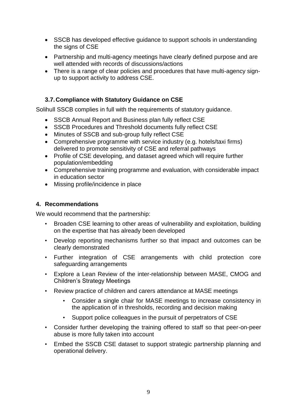- SSCB has developed effective guidance to support schools in understanding the signs of CSE
- Partnership and multi-agency meetings have clearly defined purpose and are well attended with records of discussions/actions
- There is a range of clear policies and procedures that have multi-agency signup to support activity to address CSE.

## **3.7.Compliance with Statutory Guidance on CSE**

Solihull SSCB complies in full with the requirements of statutory guidance.

- SSCB Annual Report and Business plan fully reflect CSE
- SSCB Procedures and Threshold documents fully reflect CSE
- Minutes of SSCB and sub-group fully reflect CSE
- Comprehensive programme with service industry (e.g. hotels/taxi firms) delivered to promote sensitivity of CSE and referral pathways
- Profile of CSE developing, and dataset agreed which will require further population/embedding
- Comprehensive training programme and evaluation, with considerable impact in education sector
- Missing profile/incidence in place

## **4. Recommendations**

We would recommend that the partnership:

- Broaden CSE learning to other areas of vulnerability and exploitation, building on the expertise that has already been developed
- Develop reporting mechanisms further so that impact and outcomes can be clearly demonstrated
- Further integration of CSE arrangements with child protection core safeguarding arrangements
- Explore a Lean Review of the inter-relationship between MASE, CMOG and Children's Strategy Meetings
- Review practice of children and carers attendance at MASE meetings
	- Consider a single chair for MASE meetings to increase consistency in the application of in thresholds, recording and decision making
	- Support police colleagues in the pursuit of perpetrators of CSE
- Consider further developing the training offered to staff so that peer-on-peer abuse is more fully taken into account
- Embed the SSCB CSE dataset to support strategic partnership planning and operational delivery.